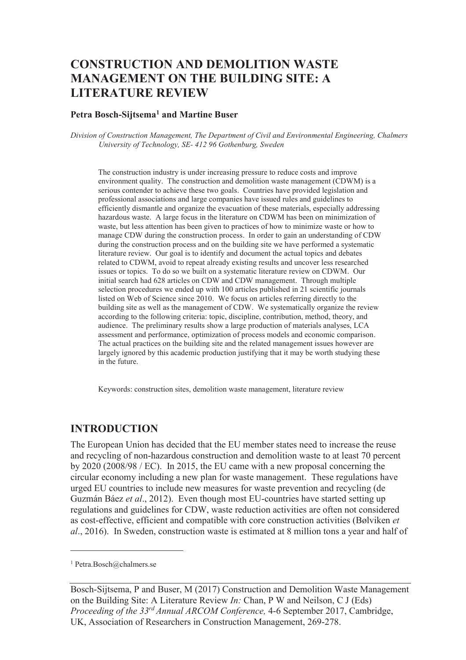# **CONSTRUCTION AND DEMOLITION WASTE MANAGEMENT ON THE BUILDING SITE: A LITERATURE REVIEW**

#### **Petra Bosch-Sijtsema<sup>1</sup> and Martine Buser**

*Division of Construction Management, The Department of Civil and Environmental Engineering, Chalmers University of Technology, SE- 412 96 Gothenburg, Sweden* 

The construction industry is under increasing pressure to reduce costs and improve environment quality. The construction and demolition waste management (CDWM) is a serious contender to achieve these two goals. Countries have provided legislation and professional associations and large companies have issued rules and guidelines to efficiently dismantle and organize the evacuation of these materials, especially addressing hazardous waste. A large focus in the literature on CDWM has been on minimization of waste, but less attention has been given to practices of how to minimize waste or how to manage CDW during the construction process. In order to gain an understanding of CDW during the construction process and on the building site we have performed a systematic literature review. Our goal is to identify and document the actual topics and debates related to CDWM, avoid to repeat already existing results and uncover less researched issues or topics. To do so we built on a systematic literature review on CDWM. Our initial search had 628 articles on CDW and CDW management. Through multiple selection procedures we ended up with 100 articles published in 21 scientific journals listed on Web of Science since 2010. We focus on articles referring directly to the building site as well as the management of CDW. We systematically organize the review according to the following criteria: topic, discipline, contribution, method, theory, and audience. The preliminary results show a large production of materials analyses, LCA assessment and performance, optimization of process models and economic comparison. The actual practices on the building site and the related management issues however are largely ignored by this academic production justifying that it may be worth studying these in the future.

Keywords: construction sites, demolition waste management, literature review

### **INTRODUCTION**

The European Union has decided that the EU member states need to increase the reuse and recycling of non-hazardous construction and demolition waste to at least 70 percent by 2020 (2008/98 / EC). In 2015, the EU came with a new proposal concerning the circular economy including a new plan for waste management. These regulations have urged EU countries to include new measures for waste prevention and recycling (de Guzmán Báez *et al*., 2012). Even though most EU-countries have started setting up regulations and guidelines for CDW, waste reduction activities are often not considered as cost-effective, efficient and compatible with core construction activities (Bølviken *et al*., 2016). In Sweden, construction waste is estimated at 8 million tons a year and half of

-

<sup>1</sup> Petra.Bosch@chalmers.se

Bosch-Sijtsema, P and Buser, M (2017) Construction and Demolition Waste Management on the Building Site: A Literature Review *In:* Chan, P W and Neilson, C J (Eds) *Proceeding of the 33rd Annual ARCOM Conference,* 4-6 September 2017, Cambridge, UK, Association of Researchers in Construction Management, 269-278.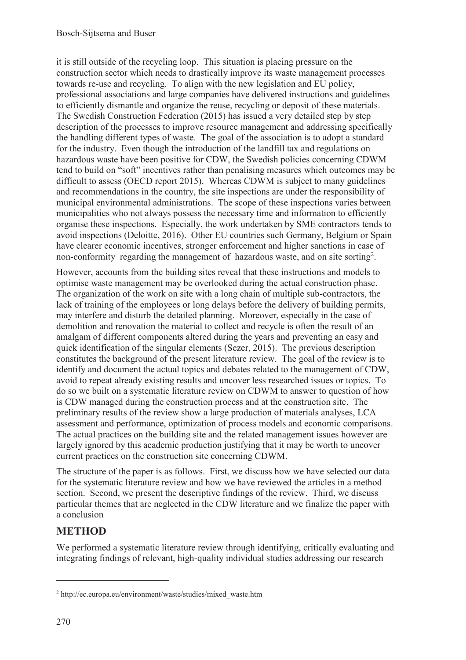it is still outside of the recycling loop. This situation is placing pressure on the construction sector which needs to drastically improve its waste management processes towards re-use and recycling. To align with the new legislation and EU policy, professional associations and large companies have delivered instructions and guidelines to efficiently dismantle and organize the reuse, recycling or deposit of these materials. The Swedish Construction Federation (2015) has issued a very detailed step by step description of the processes to improve resource management and addressing specifically the handling different types of waste. The goal of the association is to adopt a standard for the industry. Even though the introduction of the landfill tax and regulations on hazardous waste have been positive for CDW, the Swedish policies concerning CDWM tend to build on "soft" incentives rather than penalising measures which outcomes may be difficult to assess (OECD report 2015). Whereas CDWM is subject to many guidelines and recommendations in the country, the site inspections are under the responsibility of municipal environmental administrations. The scope of these inspections varies between municipalities who not always possess the necessary time and information to efficiently organise these inspections. Especially, the work undertaken by SME contractors tends to avoid inspections (Deloitte, 2016). Other EU countries such Germany, Belgium or Spain have clearer economic incentives, stronger enforcement and higher sanctions in case of non-conformity regarding the management of hazardous waste, and on site sorting<sup>2</sup>.

However, accounts from the building sites reveal that these instructions and models to optimise waste management may be overlooked during the actual construction phase. The organization of the work on site with a long chain of multiple sub-contractors, the lack of training of the employees or long delays before the delivery of building permits, may interfere and disturb the detailed planning. Moreover, especially in the case of demolition and renovation the material to collect and recycle is often the result of an amalgam of different components altered during the years and preventing an easy and quick identification of the singular elements (Sezer, 2015). The previous description constitutes the background of the present literature review. The goal of the review is to identify and document the actual topics and debates related to the management of CDW, avoid to repeat already existing results and uncover less researched issues or topics. To do so we built on a systematic literature review on CDWM to answer to question of how is CDW managed during the construction process and at the construction site. The preliminary results of the review show a large production of materials analyses, LCA assessment and performance, optimization of process models and economic comparisons. The actual practices on the building site and the related management issues however are largely ignored by this academic production justifying that it may be worth to uncover current practices on the construction site concerning CDWM.

The structure of the paper is as follows. First, we discuss how we have selected our data for the systematic literature review and how we have reviewed the articles in a method section. Second, we present the descriptive findings of the review. Third, we discuss particular themes that are neglected in the CDW literature and we finalize the paper with a conclusion

# **METHOD**

We performed a systematic literature review through identifying, critically evaluating and integrating findings of relevant, high-quality individual studies addressing our research

-

<sup>&</sup>lt;sup>2</sup> http://ec.europa.eu/environment/waste/studies/mixed\_waste.htm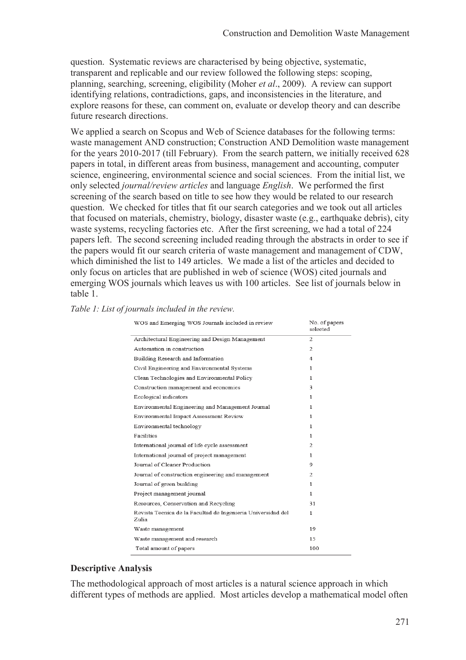question. Systematic reviews are characterised by being objective, systematic, transparent and replicable and our review followed the following steps: scoping, planning, searching, screening, eligibility (Moher *et al*., 2009). A review can support identifying relations, contradictions, gaps, and inconsistencies in the literature, and explore reasons for these, can comment on, evaluate or develop theory and can describe future research directions.

We applied a search on Scopus and Web of Science databases for the following terms: waste management AND construction; Construction AND Demolition waste management for the years 2010-2017 (till February). From the search pattern, we initially received 628 papers in total, in different areas from business, management and accounting, computer science, engineering, environmental science and social sciences. From the initial list, we only selected *journal/review articles* and language *English*. We performed the first screening of the search based on title to see how they would be related to our research question. We checked for titles that fit our search categories and we took out all articles that focused on materials, chemistry, biology, disaster waste (e.g., earthquake debris), city waste systems, recycling factories etc. After the first screening, we had a total of 224 papers left. The second screening included reading through the abstracts in order to see if the papers would fit our search criteria of waste management and management of CDW, which diminished the list to 149 articles. We made a list of the articles and decided to only focus on articles that are published in web of science (WOS) cited journals and emerging WOS journals which leaves us with 100 articles. See list of journals below in table 1.

| WOS and Emerging WOS Journals included in review                      | No. of papers<br>selected |
|-----------------------------------------------------------------------|---------------------------|
| Architectural Engineering and Design Management                       | 2                         |
| Automation in construction                                            | 2                         |
| Building Research and Information                                     | 4                         |
| Civil Engineering and Environmental Systems                           | 1                         |
| Clean Technologies and Environmental Policy                           | 1                         |
| Construction management and economics                                 | 3                         |
| Ecological indicators                                                 | 1                         |
| Environmental Engineering and Management Journal                      | 1                         |
| Environmental Impact Assessment Review                                | 1                         |
| Environmental technology                                              | 1                         |
| Facilities                                                            | 1                         |
| International journal of life cycle assessment                        | $\overline{2}$            |
| International journal of project management                           | 1                         |
| Journal of Cleaner Production                                         | 9                         |
| Journal of construction engineering and management                    | 2                         |
| Journal of green building                                             | 1                         |
| Project management journal                                            | $\mathbf{1}$              |
| Resources, Conservation and Recycling                                 | 31                        |
| Revista Tecnica de la Facultad de Ingenieria Universidad del<br>Zulia | $\mathbf{1}$              |
| Waste management                                                      | 19                        |
| Waste management and research                                         | 15                        |
| Total amount of papers                                                | 100                       |
|                                                                       |                           |

#### *Table 1: List of journals included in the review.*

#### **Descriptive Analysis**

The methodological approach of most articles is a natural science approach in which different types of methods are applied. Most articles develop a mathematical model often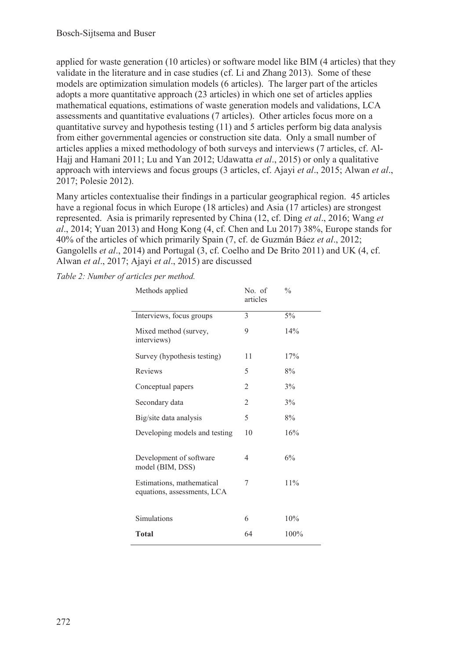applied for waste generation (10 articles) or software model like BIM (4 articles) that they validate in the literature and in case studies (cf. Li and Zhang 2013). Some of these models are optimization simulation models (6 articles). The larger part of the articles adopts a more quantitative approach (23 articles) in which one set of articles applies mathematical equations, estimations of waste generation models and validations, LCA assessments and quantitative evaluations (7 articles). Other articles focus more on a quantitative survey and hypothesis testing (11) and 5 articles perform big data analysis from either governmental agencies or construction site data. Only a small number of articles applies a mixed methodology of both surveys and interviews (7 articles, cf. Al-Hajj and Hamani 2011; Lu and Yan 2012; Udawatta *et al*., 2015) or only a qualitative approach with interviews and focus groups (3 articles, cf. Ajayi *et al*., 2015; Alwan *et al*., 2017; Polesie 2012).

Many articles contextualise their findings in a particular geographical region. 45 articles have a regional focus in which Europe (18 articles) and Asia (17 articles) are strongest represented. Asia is primarily represented by China (12, cf. Ding *et al*., 2016; Wang *et al*., 2014; Yuan 2013) and Hong Kong (4, cf. Chen and Lu 2017) 38%, Europe stands for 40% of the articles of which primarily Spain (7, cf. de Guzmán Báez *et al*., 2012; Gangolells *et al*., 2014) and Portugal (3, cf. Coelho and De Brito 2011) and UK (4, cf. Alwan *et al*., 2017; Ajayi *et al*., 2015) are discussed

*Table 2: Number of articles per method.* 

| Methods applied                                          | No. of<br>articles | $\frac{0}{0}$ |
|----------------------------------------------------------|--------------------|---------------|
| Interviews, focus groups                                 | 3                  | 5%            |
| Mixed method (survey,<br>interviews)                     | 9                  | 14%           |
| Survey (hypothesis testing)                              | 11                 | 17%           |
| Reviews                                                  | 5                  | 8%            |
| Conceptual papers                                        | 2                  | $3\%$         |
| Secondary data                                           | 2                  | $3\%$         |
| Big/site data analysis                                   | 5                  | 8%            |
| Developing models and testing                            | 10                 | 16%           |
| Development of software<br>model (BIM, DSS)              | 4                  | 6%            |
| Estimations, mathematical<br>equations, assessments, LCA | 7                  | 11%           |
|                                                          |                    |               |
| Simulations                                              | 6                  | 10%           |
| Total                                                    | 64                 | 100%          |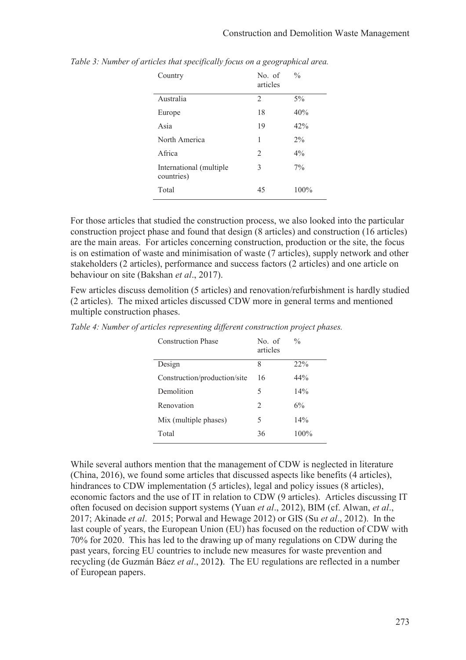| Country                               | No. of<br>articles | $\frac{0}{0}$ |
|---------------------------------------|--------------------|---------------|
| Australia                             | $\mathfrak{D}$     | $5\%$         |
| Europe                                | 18                 | 40%           |
| Asia                                  | 19                 | 42%           |
| North America                         | 1                  | $2\%$         |
| Africa                                | $\mathcal{L}$      | $4\%$         |
| International (multiple<br>countries) | 3                  | $7\%$         |
| Total                                 | 45                 | $100\%$       |

*Table 3: Number of articles that specifically focus on a geographical area.* 

For those articles that studied the construction process, we also looked into the particular construction project phase and found that design (8 articles) and construction (16 articles) are the main areas. For articles concerning construction, production or the site, the focus is on estimation of waste and minimisation of waste (7 articles), supply network and other stakeholders (2 articles), performance and success factors (2 articles) and one article on behaviour on site (Bakshan *et al*., 2017).

Few articles discuss demolition (5 articles) and renovation/refurbishment is hardly studied (2 articles). The mixed articles discussed CDW more in general terms and mentioned multiple construction phases.

| <b>Construction Phase</b>    | No. of<br>articles | $\frac{0}{0}$ |
|------------------------------|--------------------|---------------|
| Design                       | 8                  | 22%           |
| Construction/production/site | 16                 | 44%           |
| Demolition                   | 5                  | 14%           |
| Renovation                   | $\mathfrak{D}$     | 6%            |
| Mix (multiple phases)        | 5                  | 14%           |
| Total                        | 36                 | 100%          |
|                              |                    |               |

*Table 4: Number of articles representing different construction project phases.* 

While several authors mention that the management of CDW is neglected in literature (China, 2016), we found some articles that discussed aspects like benefits (4 articles), hindrances to CDW implementation (5 articles), legal and policy issues (8 articles), economic factors and the use of IT in relation to CDW (9 articles). Articles discussing IT often focused on decision support systems (Yuan *et al*., 2012), BIM (cf. Alwan, *et al*., 2017; Akinade *et al*. 2015; Porwal and Hewage 2012) or GIS (Su *et al*., 2012). In the last couple of years, the European Union (EU) has focused on the reduction of CDW with 70% for 2020. This has led to the drawing up of many regulations on CDW during the past years, forcing EU countries to include new measures for waste prevention and recycling (de Guzmán Báez *et al*., 2012**)**. The EU regulations are reflected in a number of European papers.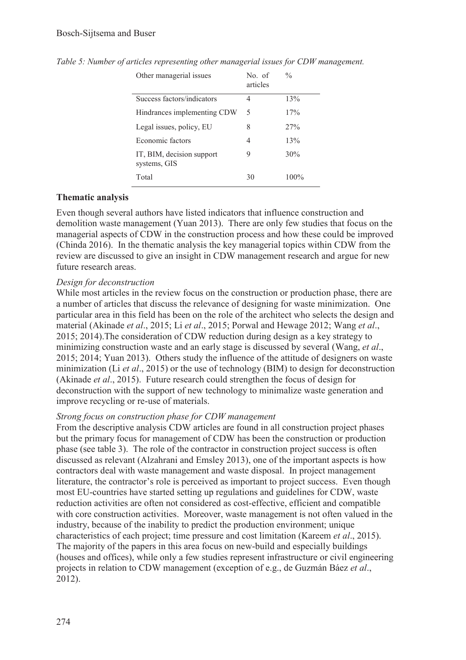| Other managerial issues                   | No. of<br>articles | $\frac{0}{0}$ |
|-------------------------------------------|--------------------|---------------|
| Success factors/indicators                | 4                  | 13%           |
| Hindrances implementing CDW               | 5                  | 17%           |
| Legal issues, policy, EU                  | 8                  | $27\%$        |
| Economic factors                          | 4                  | 13%           |
| IT, BIM, decision support<br>systems, GIS | 9                  | 30%           |
| Total                                     | 30                 | $100\%$       |

*Table 5: Number of articles representing other managerial issues for CDW management.* 

### **Thematic analysis**

Even though several authors have listed indicators that influence construction and demolition waste management (Yuan 2013). There are only few studies that focus on the managerial aspects of CDW in the construction process and how these could be improved (Chinda 2016). In the thematic analysis the key managerial topics within CDW from the review are discussed to give an insight in CDW management research and argue for new future research areas.

### *Design for deconstruction*

While most articles in the review focus on the construction or production phase, there are a number of articles that discuss the relevance of designing for waste minimization. One particular area in this field has been on the role of the architect who selects the design and material (Akinade *et al*., 2015; Li *et al*., 2015; Porwal and Hewage 2012; Wang *et al*., 2015; 2014).The consideration of CDW reduction during design as a key strategy to minimizing construction waste and an early stage is discussed by several (Wang, *et al*., 2015; 2014; Yuan 2013). Others study the influence of the attitude of designers on waste minimization (Li *et al*., 2015) or the use of technology (BIM) to design for deconstruction (Akinade *et al*., 2015). Future research could strengthen the focus of design for deconstruction with the support of new technology to minimalize waste generation and improve recycling or re-use of materials.

### *Strong focus on construction phase for CDW management*

From the descriptive analysis CDW articles are found in all construction project phases but the primary focus for management of CDW has been the construction or production phase (see table 3). The role of the contractor in construction project success is often discussed as relevant (Alzahrani and Emsley 2013), one of the important aspects is how contractors deal with waste management and waste disposal. In project management literature, the contractor's role is perceived as important to project success. Even though most EU-countries have started setting up regulations and guidelines for CDW, waste reduction activities are often not considered as cost-effective, efficient and compatible with core construction activities. Moreover, waste management is not often valued in the industry, because of the inability to predict the production environment; unique characteristics of each project; time pressure and cost limitation (Kareem *et al*., 2015). The majority of the papers in this area focus on new-build and especially buildings (houses and offices), while only a few studies represent infrastructure or civil engineering projects in relation to CDW management (exception of e.g., de Guzmán Báez *et al*., 2012).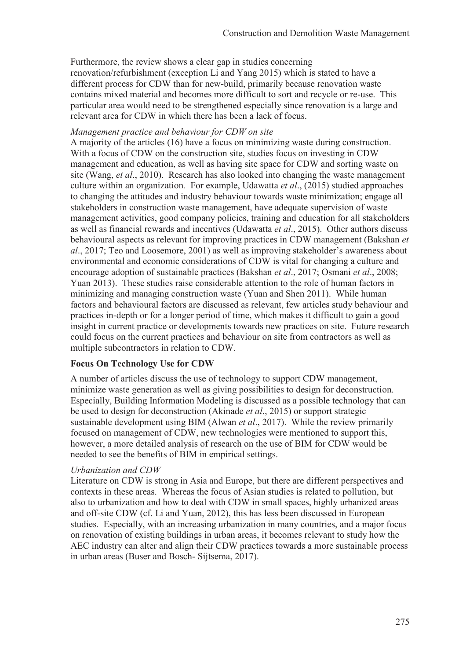Furthermore, the review shows a clear gap in studies concerning renovation/refurbishment (exception Li and Yang 2015) which is stated to have a different process for CDW than for new-build, primarily because renovation waste contains mixed material and becomes more difficult to sort and recycle or re-use. This particular area would need to be strengthened especially since renovation is a large and relevant area for CDW in which there has been a lack of focus.

#### *Management practice and behaviour for CDW on site*

A majority of the articles (16) have a focus on minimizing waste during construction. With a focus of CDW on the construction site, studies focus on investing in CDW management and education, as well as having site space for CDW and sorting waste on site (Wang, *et al*., 2010). Research has also looked into changing the waste management culture within an organization*.* For example, Udawatta *et al*., (2015) studied approaches to changing the attitudes and industry behaviour towards waste minimization; engage all stakeholders in construction waste management, have adequate supervision of waste management activities, good company policies, training and education for all stakeholders as well as financial rewards and incentives (Udawatta *et al*., 2015). Other authors discuss behavioural aspects as relevant for improving practices in CDW management (Bakshan *et al*., 2017; Teo and Loosemore, 2001) as well as improving stakeholder's awareness about environmental and economic considerations of CDW is vital for changing a culture and encourage adoption of sustainable practices (Bakshan *et al*., 2017; Osmani *et al*., 2008; Yuan 2013). These studies raise considerable attention to the role of human factors in minimizing and managing construction waste (Yuan and Shen 2011). While human factors and behavioural factors are discussed as relevant, few articles study behaviour and practices in-depth or for a longer period of time, which makes it difficult to gain a good insight in current practice or developments towards new practices on site. Future research could focus on the current practices and behaviour on site from contractors as well as multiple subcontractors in relation to CDW.

### **Focus On Technology Use for CDW**

A number of articles discuss the use of technology to support CDW management, minimize waste generation as well as giving possibilities to design for deconstruction. Especially, Building Information Modeling is discussed as a possible technology that can be used to design for deconstruction (Akinade *et al*., 2015) or support strategic sustainable development using BIM (Alwan *et al*., 2017). While the review primarily focused on management of CDW, new technologies were mentioned to support this, however, a more detailed analysis of research on the use of BIM for CDW would be needed to see the benefits of BIM in empirical settings.

### *Urbanization and CDW*

Literature on CDW is strong in Asia and Europe, but there are different perspectives and contexts in these areas. Whereas the focus of Asian studies is related to pollution, but also to urbanization and how to deal with CDW in small spaces, highly urbanized areas and off-site CDW (cf. Li and Yuan, 2012), this has less been discussed in European studies. Especially, with an increasing urbanization in many countries, and a major focus on renovation of existing buildings in urban areas, it becomes relevant to study how the AEC industry can alter and align their CDW practices towards a more sustainable process in urban areas (Buser and Bosch- Sijtsema, 2017).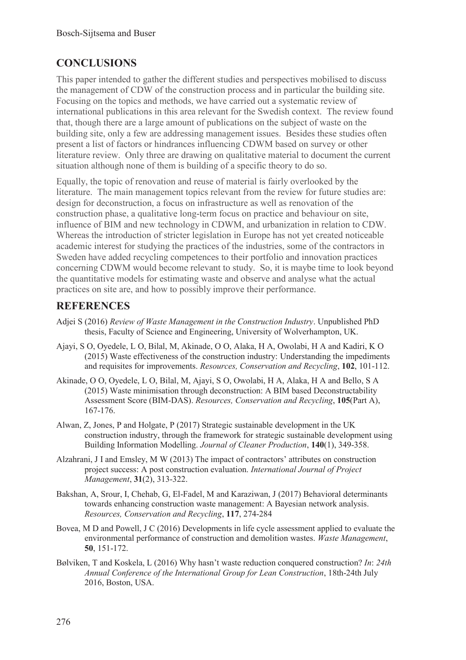# **CONCLUSIONS**

This paper intended to gather the different studies and perspectives mobilised to discuss the management of CDW of the construction process and in particular the building site. Focusing on the topics and methods, we have carried out a systematic review of international publications in this area relevant for the Swedish context. The review found that, though there are a large amount of publications on the subject of waste on the building site, only a few are addressing management issues. Besides these studies often present a list of factors or hindrances influencing CDWM based on survey or other literature review. Only three are drawing on qualitative material to document the current situation although none of them is building of a specific theory to do so.

Equally, the topic of renovation and reuse of material is fairly overlooked by the literature. The main management topics relevant from the review for future studies are: design for deconstruction, a focus on infrastructure as well as renovation of the construction phase, a qualitative long-term focus on practice and behaviour on site, influence of BIM and new technology in CDWM, and urbanization in relation to CDW. Whereas the introduction of stricter legislation in Europe has not yet created noticeable academic interest for studying the practices of the industries, some of the contractors in Sweden have added recycling competences to their portfolio and innovation practices concerning CDWM would become relevant to study. So, it is maybe time to look beyond the quantitative models for estimating waste and observe and analyse what the actual practices on site are, and how to possibly improve their performance.

# **REFERENCES**

- Adjei S (2016) *Review of Waste Management in the Construction Industry*. Unpublished PhD thesis, Faculty of Science and Engineering, University of Wolverhampton, UK.
- Ajayi, S O, Oyedele, L O, Bilal, M, Akinade, O O, Alaka, H A, Owolabi, H A and Kadiri, K O (2015) Waste effectiveness of the construction industry: Understanding the impediments and requisites for improvements. *Resources, Conservation and Recycling*, **102**, 101-112.
- Akinade, O O, Oyedele, L O, Bilal, M, Ajayi, S O, Owolabi, H A, Alaka, H A and Bello, S A (2015) Waste minimisation through deconstruction: A BIM based Deconstructability Assessment Score (BIM-DAS). *Resources, Conservation and Recycling*, **105**(Part A), 167-176.
- Alwan, Z, Jones, P and Holgate, P (2017) Strategic sustainable development in the UK construction industry, through the framework for strategic sustainable development using Building Information Modelling. *Journal of Cleaner Production*, **140**(1), 349-358.
- Alzahrani, J I and Emsley, M W (2013) The impact of contractors' attributes on construction project success: A post construction evaluation. *International Journal of Project Management*, **31**(2), 313-322.
- Bakshan, A, Srour, I, Chehab, G, El-Fadel, M and Karaziwan, J (2017) Behavioral determinants towards enhancing construction waste management: A Bayesian network analysis. *Resources, Conservation and Recycling*, **117**, 274-284
- Bovea, M D and Powell, J C (2016) Developments in life cycle assessment applied to evaluate the environmental performance of construction and demolition wastes. *Waste Management*, **50**, 151-172.
- Bølviken, T and Koskela, L (2016) Why hasn't waste reduction conquered construction? *In*: *24th Annual Conference of the International Group for Lean Construction*, 18th-24th July 2016, Boston, USA.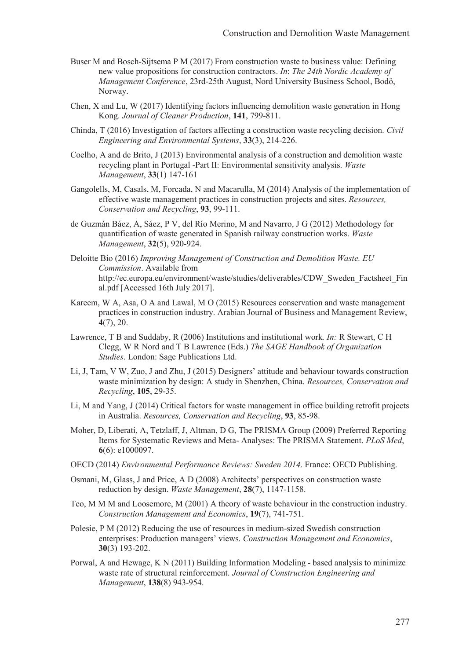- Buser M and Bosch-Sijtsema P M (2017) From construction waste to business value: Defining new value propositions for construction contractors. *In*: *The 24th Nordic Academy of Management Conference*, 23rd-25th August, Nord University Business School, Bodö, Norway.
- Chen, X and Lu, W (2017) Identifying factors influencing demolition waste generation in Hong Kong. *Journal of Cleaner Production*, **141**, 799-811.
- Chinda, T (2016) Investigation of factors affecting a construction waste recycling decision. *Civil Engineering and Environmental Systems*, **33**(3), 214-226.
- Coelho, A and de Brito, J (2013) Environmental analysis of a construction and demolition waste recycling plant in Portugal -Part II: Environmental sensitivity analysis. *Waste Management*, **33**(1) 147-161
- Gangolells, M, Casals, M, Forcada, N and Macarulla, M (2014) Analysis of the implementation of effective waste management practices in construction projects and sites. *Resources, Conservation and Recycling*, **93**, 99-111.
- de Guzmán Báez, A, Sáez, P V, del Río Merino, M and Navarro, J G (2012) Methodology for quantification of waste generated in Spanish railway construction works. *Waste Management*, **32**(5), 920-924.
- Deloitte Bio (2016) *Improving Management of Construction and Demolition Waste. EU Commission*. Available from http://ec.europa.eu/environment/waste/studies/deliverables/CDW\_Sweden\_Factsheet\_Fin al.pdf [Accessed 16th July 2017].
- Kareem, W A, Asa, O A and Lawal, M O (2015) Resources conservation and waste management practices in construction industry. Arabian Journal of Business and Management Review, **4**(7), 20.
- Lawrence, T B and Suddaby, R (2006) Institutions and institutional work*. In:* R Stewart, C H Clegg, W R Nord and T B Lawrence (Eds.) *The SAGE Handbook of Organization Studies*. London: Sage Publications Ltd.
- Li, J, Tam, V W, Zuo, J and Zhu, J (2015) Designers' attitude and behaviour towards construction waste minimization by design: A study in Shenzhen, China. *Resources, Conservation and Recycling*, **105**, 29-35.
- Li, M and Yang, J (2014) Critical factors for waste management in office building retrofit projects in Australia. *Resources, Conservation and Recycling*, **93**, 85-98.
- Moher, D, Liberati, A, Tetzlaff, J, Altman, D G, The PRISMA Group (2009) Preferred Reporting Items for Systematic Reviews and Meta- Analyses: The PRISMA Statement. *PLoS Med*, **6**(6): e1000097.
- OECD (2014) *Environmental Performance Reviews: Sweden 2014*. France: OECD Publishing.
- Osmani, M, Glass, J and Price, A D (2008) Architects' perspectives on construction waste reduction by design. *Waste Management*, **28**(7), 1147-1158.
- Teo, M M M and Loosemore, M (2001) A theory of waste behaviour in the construction industry. *Construction Management and Economics*, **19**(7), 741-751.
- Polesie, P M (2012) Reducing the use of resources in medium-sized Swedish construction enterprises: Production managers' views. *Construction Management and Economics*, **30**(3) 193-202.
- Porwal, A and Hewage, K N (2011) Building Information Modeling based analysis to minimize waste rate of structural reinforcement. *Journal of Construction Engineering and Management*, **138**(8) 943-954.